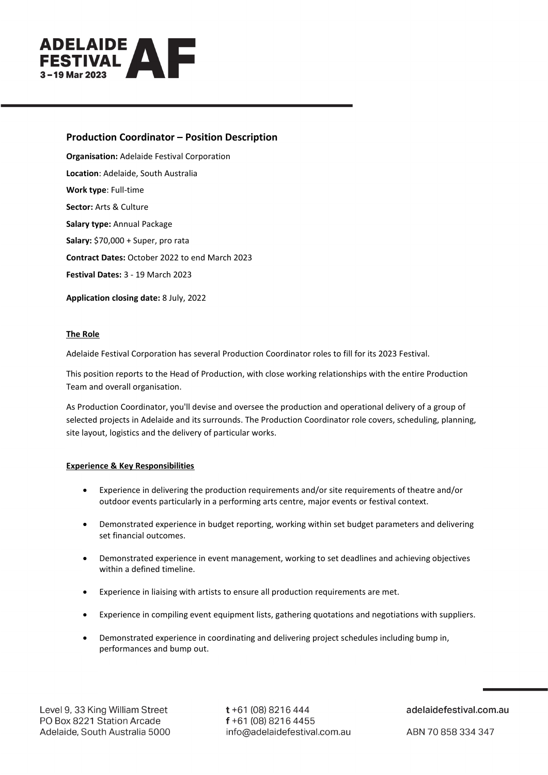

# **Production Coordinator – Position Description**

**Organisation:** Adelaide Festival Corporation **Location**[: Adelaide,](https://probonoaustralia.com.au/search-jobs/?q=&tax_input%5Blocation%5D%5B%5D=59&type=job) South Australia **Work type**: Full-time **Sector:** [Arts & Culture](https://probonoaustralia.com.au/search-jobs/?q=&tax_input%5Bsector%5D%5B%5D=15&type=job) **Salary type:** Annual Package **Salary:** \$70,000 + Super, pro rata **Contract Dates:** October 2022 to end March 2023 **Festival Dates:** 3 - 19 March 2023

**Application closing date:** 8 July, 2022

### **The Role**

Adelaide Festival Corporation has several Production Coordinator roles to fill for its 2023 Festival.

This position reports to the Head of Production, with close working relationships with the entire Production Team and overall organisation.

As Production Coordinator, you'll devise and oversee the production and operational delivery of a group of selected projects in Adelaide and its surrounds. The Production Coordinator role covers, scheduling, planning, site layout, logistics and the delivery of particular works.

### **Experience & Key Responsibilities**

- Experience in delivering the production requirements and/or site requirements of theatre and/or outdoor events particularly in a performing arts centre, major events or festival context.
- Demonstrated experience in budget reporting, working within set budget parameters and delivering set financial outcomes.
- Demonstrated experience in event management, working to set deadlines and achieving objectives within a defined timeline.
- Experience in liaising with artists to ensure all production requirements are met.
- Experience in compiling event equipment lists, gathering quotations and negotiations with suppliers.
- Demonstrated experience in coordinating and delivering project schedules including bump in, performances and bump out.

 $t + 61$  (08) 8216 444  $f + 61(08)82164455$ info@adelaidefestival.com.au

adelaidefestival.com.au

ABN 70 858 334 347